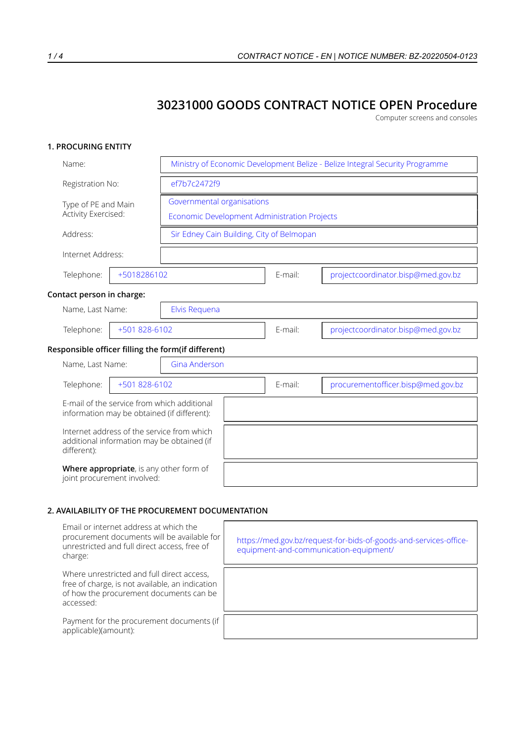# **30231000 GOODS CONTRACT NOTICE OPEN Procedure**

Computer screens and consoles

## **1. PROCURING ENTITY**

| Name:                                              |                                                                                            | Ministry of Economic Development Belize - Belize Integral Security Programme |                                    |  |  |  |  |
|----------------------------------------------------|--------------------------------------------------------------------------------------------|------------------------------------------------------------------------------|------------------------------------|--|--|--|--|
| Registration No:                                   | ef7b7c2472f9                                                                               |                                                                              |                                    |  |  |  |  |
| Type of PE and Main<br>Activity Exercised:         |                                                                                            | Governmental organisations<br>Economic Development Administration Projects   |                                    |  |  |  |  |
| Address:                                           |                                                                                            | Sir Edney Cain Building, City of Belmopan                                    |                                    |  |  |  |  |
| Internet Address:                                  |                                                                                            |                                                                              |                                    |  |  |  |  |
| Telephone:                                         | +5018286102                                                                                | E-mail:                                                                      | projectcoordinator.bisp@med.gov.bz |  |  |  |  |
| Contact person in charge:                          |                                                                                            |                                                                              |                                    |  |  |  |  |
| Name, Last Name:                                   | Elvis Requena                                                                              |                                                                              |                                    |  |  |  |  |
| Telephone:<br>+501 828-6102                        |                                                                                            | E-mail:                                                                      | projectcoordinator.bisp@med.gov.bz |  |  |  |  |
| Responsible officer filling the form(if different) |                                                                                            |                                                                              |                                    |  |  |  |  |
| Name, Last Name:                                   | <b>Gina Anderson</b>                                                                       |                                                                              |                                    |  |  |  |  |
| Telephone:                                         | +501 828-6102                                                                              | E-mail:                                                                      | procurementofficer.bisp@med.gov.bz |  |  |  |  |
|                                                    | E-mail of the service from which additional<br>information may be obtained (if different): |                                                                              |                                    |  |  |  |  |
| different):                                        | Internet address of the service from which<br>additional information may be obtained (if   |                                                                              |                                    |  |  |  |  |
| joint procurement involved:                        | Where appropriate, is any other form of                                                    |                                                                              |                                    |  |  |  |  |

#### **2. AVAILABILITY OF THE PROCUREMENT DOCUMENTATION**

| Email or internet address at which the<br>procurement documents will be available for<br>unrestricted and full direct access, free of<br>charge:      | https://med.gov.bz/request-for-bids-of-goods-and-services-office-<br>equipment-and-communication-equipment/ |
|-------------------------------------------------------------------------------------------------------------------------------------------------------|-------------------------------------------------------------------------------------------------------------|
| Where unrestricted and full direct access,<br>free of charge, is not available, an indication<br>of how the procurement documents can be<br>accessed: |                                                                                                             |
| Payment for the procurement documents (if<br>applicable)(amount):                                                                                     |                                                                                                             |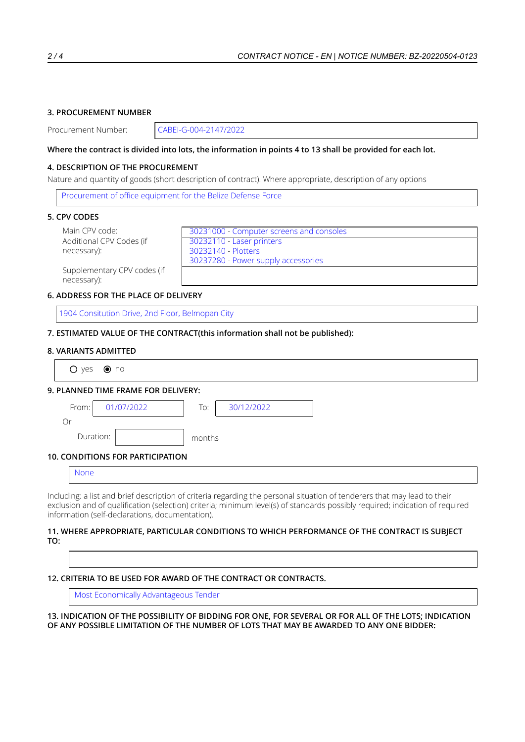# **3. PROCUREMENT NUMBER**

Procurement Number: CABEI-G-004-2147/2022

## Where the contract is divided into lots, the information in points 4 to 13 shall be provided for each lot.

## **4. DESCRIPTION OF THE PROCUREMENT**

Nature and quantity of goods (short description of contract). Where appropriate, description of any options

Procurement of office equipment for the Belize Defense Force

#### **5. CPV CODES**

Additional CPV Codes (if necessary):

Main CPV code: 30231000 - Computer screens and consoles 30232110 - Laser printers 30232140 - Plotters 30237280 - Power supply accessories

Supplementary CPV codes (if necessary):

# **6. ADDRESS FOR THE PLACE OF DELIVERY**

1904 Consitution Drive, 2nd Floor, Belmopan City

#### **7. ESTIMATED VALUE OF THE CONTRACT(this information shall not be published):**

#### **8. VARIANTS ADMITTED**

| $O$ yes $\odot$ no |           |                                     |        |            |  |
|--------------------|-----------|-------------------------------------|--------|------------|--|
|                    |           | 9. PLANNED TIME FRAME FOR DELIVERY: |        |            |  |
| From:              |           | 01/07/2022                          | To:    | 30/12/2022 |  |
| Or                 |           |                                     |        |            |  |
|                    | Duration: |                                     | months |            |  |

#### **10. CONDITIONS FOR PARTICIPATION**

| זור<br>11 I LI |  |  |  |
|----------------|--|--|--|
|                |  |  |  |

Including: a list and brief description of criteria regarding the personal situation of tenderers that may lead to their exclusion and of qualification (selection) criteria; minimum level(s) of standards possibly required; indication of required information (self-declarations, documentation).

#### **11. WHERE APPROPRIATE, PARTICULAR CONDITIONS TO WHICH PERFORMANCE OF THE CONTRACT IS SUBJECT TO:**

# **12. CRITERIA TO BE USED FOR AWARD OF THE CONTRACT OR CONTRACTS.**

Most Economically Advantageous Tender

13. INDICATION OF THE POSSIBILITY OF BIDDING FOR ONE. FOR SEVERAL OR FOR ALL OF THE LOTS: INDICATION **OF ANY POSSIBLE LIMITATION OF THE NUMBER OF LOTS THAT MAY BE AWARDED TO ANY ONE BIDDER:**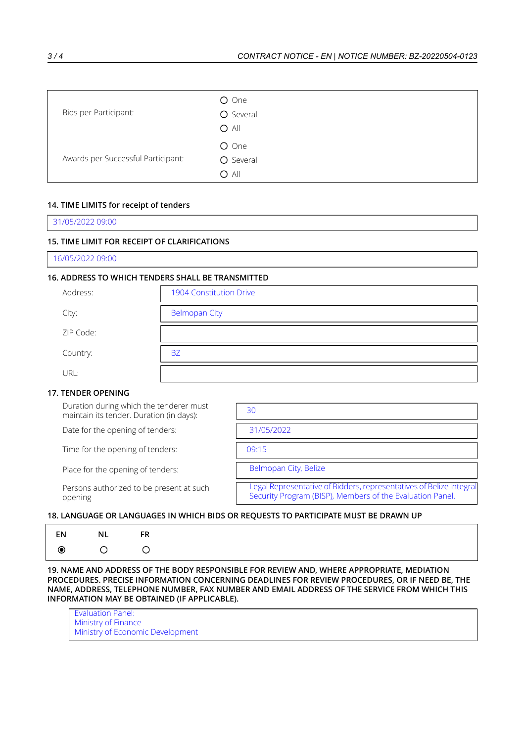| Bids per Participant:              | O One<br>O Several<br>$O$ All |
|------------------------------------|-------------------------------|
| Awards per Successful Participant: | O One<br>O Several<br>$O$ All |

# **14. TIME LIMITS for receipt of tenders**

31/05/2022 09:00

## **15. TIME LIMIT FOR RECEIPT OF CLARIFICATIONS**

16/05/2022 09:00

## **16. ADDRESS TO WHICH TENDERS SHALL BE TRANSMITTED**

| Address:  | 1904 Constitution Drive |
|-----------|-------------------------|
| City:     | <b>Belmopan City</b>    |
| ZIP Code: |                         |
| Country:  | <b>BZ</b>               |
| URL:      |                         |

#### **17. TENDER OPENING**

Duration during which the tenderer must maintain its tender. Duration (in days):

Date for the opening of tenders:

Time for the opening of tenders:

Place for the opening of tenders:

Persons authorized to be present at such opening

| 30                                                                                                                               |
|----------------------------------------------------------------------------------------------------------------------------------|
| 31/05/2022                                                                                                                       |
| 09.15                                                                                                                            |
| Belmopan City, Belize                                                                                                            |
| Legal Representative of Bidders, representatives of Belize Integral<br>Security Program (BISP), Members of the Evaluation Panel. |
|                                                                                                                                  |

# **18. LANGUAGE OR LANGUAGES IN WHICH BIDS OR REQUESTS TO PARTICIPATE MUST BE DRAWN UP**

| EN      | NL | FR |
|---------|----|----|
| $\odot$ | ◯  | ∩  |

**19. NAME AND ADDRESS OF THE BODY RESPONSIBLE FOR REVIEW AND, WHERE APPROPRIATE, MEDIATION PROCEDURES. PRECISE INFORMATION CONCERNING DEADLINES FOR REVIEW PROCEDURES, OR IF NEED BE, THE NAME, ADDRESS, TELEPHONE NUMBER, FAX NUMBER AND EMAIL ADDRESS OF THE SERVICE FROM WHICH THIS INFORMATION MAY BE OBTAINED (IF APPLICABLE).**

Evaluation Panel: Ministry of Finance Ministry of Economic Development